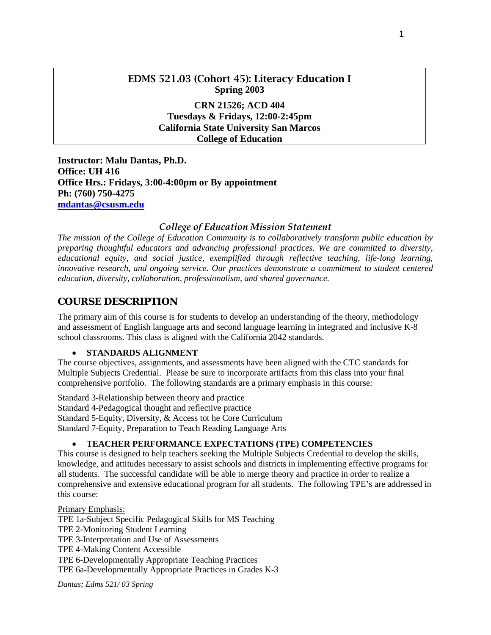## EDMS 521.03 (Cohort 45): Literacy Education I **Spring 2003**

**CRN 21526; ACD 404 Tuesdays & Fridays, 12:00-2:45pm California State University San Marcos College of Education**

**Instructor: Malu Dantas, Ph.D. Office: UH 416 Office Hrs.: Fridays, 3:00-4:00pm or By appointment Ph: (760) 750-4275 [mdantas@csusm.edu](mailto:mdantas@csusm.edu)**

### *College of Education Mission Statement*

*The mission of the College of Education Community is to collaboratively transform public education by preparing thoughtful educators and advancing professional practices. We are committed to diversity, educational equity, and social justice, exemplified through reflective teaching, life-long learning, innovative research, and ongoing service. Our practices demonstrate a commitment to student centered education, diversity, collaboration, professionalism, and shared governance.*

## **COURSE DESCRIPTION**

The primary aim of this course is for students to develop an understanding of the theory, methodology and assessment of English language arts and second language learning in integrated and inclusive K-8 school classrooms. This class is aligned with the California 2042 standards.

### • **STANDARDS ALIGNMENT**

The course objectives, assignments, and assessments have been aligned with the CTC standards for Multiple Subjects Credential. Please be sure to incorporate artifacts from this class into your final comprehensive portfolio. The following standards are a primary emphasis in this course:

Standard 3-Relationship between theory and practice Standard 4-Pedagogical thought and reflective practice Standard 5-Equity, Diversity, & Access tot he Core Curriculum Standard 7-Equity, Preparation to Teach Reading Language Arts

### • **TEACHER PERFORMANCE EXPECTATIONS (TPE) COMPETENCIES**

This course is designed to help teachers seeking the Multiple Subjects Credential to develop the skills, knowledge, and attitudes necessary to assist schools and districts in implementing effective programs for all students. The successful candidate will be able to merge theory and practice in order to realize a comprehensive and extensive educational program for all students. The following TPE's are addressed in this course:

Primary Emphasis:

TPE 1a-Subject Specific Pedagogical Skills for MS Teaching TPE 2-Monitoring Student Learning TPE 3-Interpretation and Use of Assessments TPE 4-Making Content Accessible TPE 6-Developmentally Appropriate Teaching Practices TPE 6a-Developmentally Appropriate Practices in Grades K-3

*Dantas; Edms 521/ 03 Spring*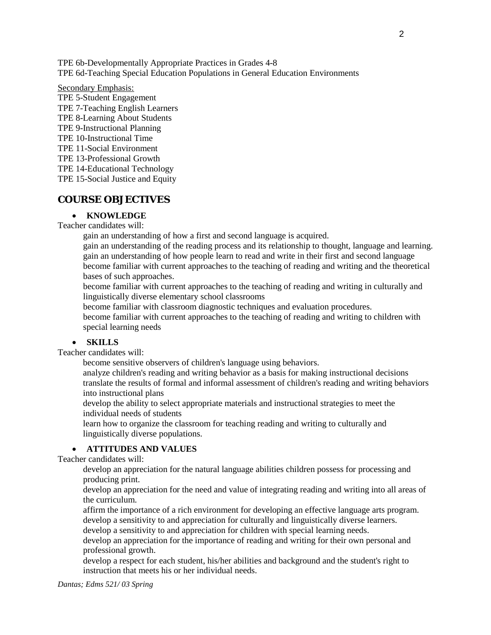TPE 6b-Developmentally Appropriate Practices in Grades 4-8 TPE 6d-Teaching Special Education Populations in General Education Environments

Secondary Emphasis:

TPE 5-Student Engagement TPE 7-Teaching English Learners TPE 8-Learning About Students TPE 9-Instructional Planning TPE 10-Instructional Time TPE 11-Social Environment TPE 13-Professional Growth TPE 14-Educational Technology

TPE 15-Social Justice and Equity

### **COURSE OBJECTIVES**

### • **KNOWLEDGE**

Teacher candidates will:

gain an understanding of how a first and second language is acquired.

gain an understanding of the reading process and its relationship to thought, language and learning. gain an understanding of how people learn to read and write in their first and second language become familiar with current approaches to the teaching of reading and writing and the theoretical bases of such approaches.

become familiar with current approaches to the teaching of reading and writing in culturally and linguistically diverse elementary school classrooms

become familiar with classroom diagnostic techniques and evaluation procedures.

become familiar with current approaches to the teaching of reading and writing to children with special learning needs

### • **SKILLS**

Teacher candidates will:

become sensitive observers of children's language using behaviors.

analyze children's reading and writing behavior as a basis for making instructional decisions translate the results of formal and informal assessment of children's reading and writing behaviors into instructional plans

develop the ability to select appropriate materials and instructional strategies to meet the individual needs of students

learn how to organize the classroom for teaching reading and writing to culturally and linguistically diverse populations.

### • **ATTITUDES AND VALUES**

Teacher candidates will:

develop an appreciation for the natural language abilities children possess for processing and producing print.

develop an appreciation for the need and value of integrating reading and writing into all areas of the curriculum.

affirm the importance of a rich environment for developing an effective language arts program. develop a sensitivity to and appreciation for culturally and linguistically diverse learners.

develop a sensitivity to and appreciation for children with special learning needs.

develop an appreciation for the importance of reading and writing for their own personal and professional growth.

develop a respect for each student, his/her abilities and background and the student's right to instruction that meets his or her individual needs.

*Dantas; Edms 521/ 03 Spring*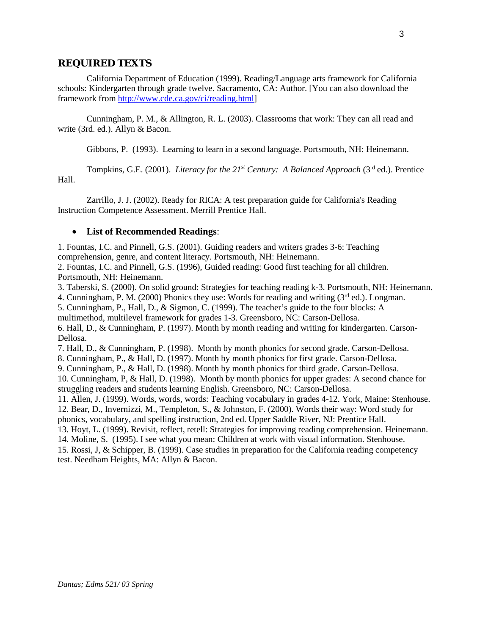### **REQUIRED TEXTS**

California Department of Education (1999). Reading/Language arts framework for California schools: Kindergarten through grade twelve. Sacramento, CA: Author. [You can also download the framework from [http://www.cde.ca.gov/ci/reading.html\]](http://www.cde.ca.gov/ci/reading.html)

Cunningham, P. M., & Allington, R. L. (2003). Classrooms that work: They can all read and write (3rd. ed.). Allyn & Bacon.

Gibbons, P. (1993). Learning to learn in a second language. Portsmouth, NH: Heinemann.

Tompkins, G.E. (2001). *Literacy for the 21st Century: A Balanced Approach* (3rd ed.). Prentice Hall.

Zarrillo, J. J. (2002). Ready for RICA: A test preparation guide for California's Reading Instruction Competence Assessment. Merrill Prentice Hall.

### • **List of Recommended Readings**:

1. Fountas, I.C. and Pinnell, G.S. (2001). Guiding readers and writers grades 3-6: Teaching comprehension, genre, and content literacy. Portsmouth, NH: Heinemann.

2. Fountas, I.C. and Pinnell, G.S. (1996), Guided reading: Good first teaching for all children. Portsmouth, NH: Heinemann.

3. Taberski, S. (2000). On solid ground: Strategies for teaching reading k-3. Portsmouth, NH: Heinemann.

4. Cunningham, P. M. (2000) Phonics they use: Words for reading and writing  $(3<sup>rd</sup> ed.)$ . Longman.

5. Cunningham, P., Hall, D., & Sigmon, C. (1999). The teacher's guide to the four blocks: A

multimethod, multilevel framework for grades 1-3. Greensboro, NC: Carson-Dellosa.

6. Hall, D., & Cunningham, P. (1997). Month by month reading and writing for kindergarten. Carson-Dellosa.

7. Hall, D., & Cunningham, P. (1998). Month by month phonics for second grade. Carson-Dellosa.

8. Cunningham, P., & Hall, D. (1997). Month by month phonics for first grade. Carson-Dellosa.

9. Cunningham, P., & Hall, D. (1998). Month by month phonics for third grade. Carson-Dellosa.

10. Cunningham, P, & Hall, D. (1998). Month by month phonics for upper grades: A second chance for struggling readers and students learning English. Greensboro, NC: Carson-Dellosa.

11. Allen, J. (1999). Words, words, words: Teaching vocabulary in grades 4-12. York, Maine: Stenhouse. 12. Bear, D., Invernizzi, M., Templeton, S., & Johnston, F. (2000). Words their way: Word study for

phonics, vocabulary, and spelling instruction, 2nd ed. Upper Saddle River, NJ: Prentice Hall.

13. Hoyt, L. (1999). Revisit, reflect, retell: Strategies for improving reading comprehension. Heinemann.

14. Moline, S. (1995). I see what you mean: Children at work with visual information. Stenhouse.

15. Rossi, J, & Schipper, B. (1999). Case studies in preparation for the California reading competency test. Needham Heights, MA: Allyn & Bacon.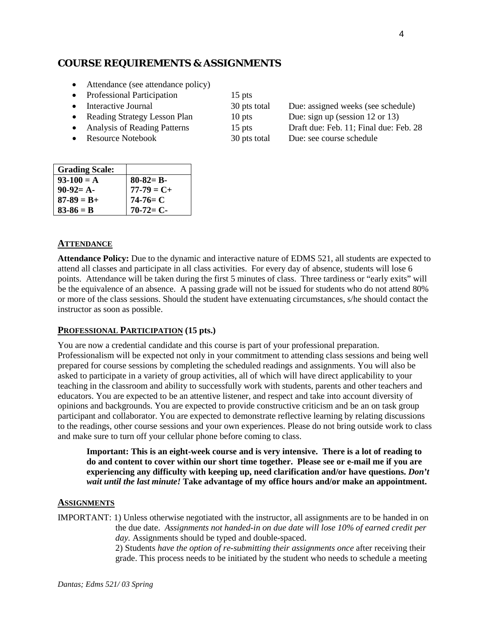### **COURSE REQUIREMENTS & ASSIGNMENTS**

- Attendance (see attendance policy)
- Professional Participation 15 pts
- $\bullet$  Interactive Journal
- Reading Strategy Lesson Plan
- Analysis of Reading Patterns
- $\bullet$  Resource Notebook

| TV DIS       |                                        |
|--------------|----------------------------------------|
| 30 pts total | Due: assigned weeks (see schedule)     |
| 10 pts       | Due: sign up (session $12$ or $13$ )   |
| $15$ pts     | Draft due: Feb. 11; Final due: Feb. 28 |
| 30 pts total | Due: see course schedule               |
|              |                                        |

| <b>Grading Scale:</b> |               |
|-----------------------|---------------|
| $93-100 = A$          | $80-82= B-$   |
| $90-92=$ A-           | $77-79 = C +$ |
| $87 - 89 = B +$       | $74-76= C$    |
| $83 - 86 = B$         | $70-72=C-$    |

### **ATTENDANCE**

**Attendance Policy:** Due to the dynamic and interactive nature of EDMS 521, all students are expected to attend all classes and participate in all class activities. For every day of absence, students will lose 6 points. Attendance will be taken during the first 5 minutes of class. Three tardiness or "early exits" will be the equivalence of an absence. A passing grade will not be issued for students who do not attend 80% or more of the class sessions. Should the student have extenuating circumstances, s/he should contact the instructor as soon as possible.

### **PROFESSIONAL PARTICIPATION (15 pts.)**

You are now a credential candidate and this course is part of your professional preparation. Professionalism will be expected not only in your commitment to attending class sessions and being well prepared for course sessions by completing the scheduled readings and assignments. You will also be asked to participate in a variety of group activities, all of which will have direct applicability to your teaching in the classroom and ability to successfully work with students, parents and other teachers and educators. You are expected to be an attentive listener, and respect and take into account diversity of opinions and backgrounds. You are expected to provide constructive criticism and be an on task group participant and collaborator. You are expected to demonstrate reflective learning by relating discussions to the readings, other course sessions and your own experiences. Please do not bring outside work to class and make sure to turn off your cellular phone before coming to class.

**Important: This is an eight-week course and is very intensive. There is a lot of reading to do and content to cover within our short time together. Please see or e-mail me if you are experiencing any difficulty with keeping up, need clarification and/or have questions.** *Don't wait until the last minute!* **Take advantage of my office hours and/or make an appointment.**

### **ASSIGNMENTS**

IMPORTANT: 1) Unless otherwise negotiated with the instructor, all assignments are to be handed in on the due date. *Assignments not handed-in on due date will lose 10% of earned credit per day.* Assignments should be typed and double-spaced.

2) Students *have the option of re-submitting their assignments once* after receiving their grade. This process needs to be initiated by the student who needs to schedule a meeting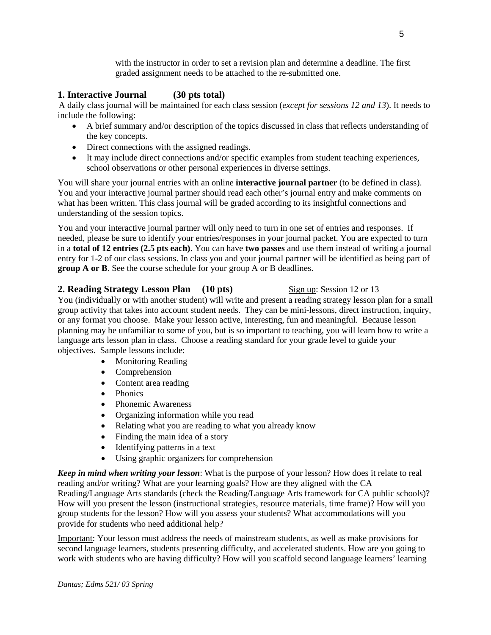with the instructor in order to set a revision plan and determine a deadline. The first graded assignment needs to be attached to the re-submitted one.

## **1. Interactive Journal (30 pts total)**

A daily class journal will be maintained for each class session (*except for sessions 12 and 13*). It needs to include the following:

- A brief summary and/or description of the topics discussed in class that reflects understanding of the key concepts.
- Direct connections with the assigned readings.
- It may include direct connections and/or specific examples from student teaching experiences, school observations or other personal experiences in diverse settings.

You will share your journal entries with an online **interactive journal partner** (to be defined in class). You and your interactive journal partner should read each other's journal entry and make comments on what has been written. This class journal will be graded according to its insightful connections and understanding of the session topics.

You and your interactive journal partner will only need to turn in one set of entries and responses. If needed, please be sure to identify your entries/responses in your journal packet. You are expected to turn in a **total of 12 entries (2.5 pts each)**. You can have **two passes** and use them instead of writing a journal entry for 1-2 of our class sessions. In class you and your journal partner will be identified as being part of **group A or B**. See the course schedule for your group A or B deadlines.

## **2. Reading Strategy Lesson Plan** (10 pts) Sign up: Session 12 or 13

You (individually or with another student) will write and present a reading strategy lesson plan for a small group activity that takes into account student needs. They can be mini-lessons, direct instruction, inquiry, or any format you choose. Make your lesson active, interesting, fun and meaningful. Because lesson planning may be unfamiliar to some of you, but is so important to teaching, you will learn how to write a language arts lesson plan in class. Choose a reading standard for your grade level to guide your objectives. Sample lessons include:

- Monitoring Reading
- Comprehension
- Content area reading
- Phonics
- Phonemic Awareness
- Organizing information while you read
- Relating what you are reading to what you already know
- Finding the main idea of a story
- Identifying patterns in a text
- Using graphic organizers for comprehension

*Keep in mind when writing your lesson*: What is the purpose of your lesson? How does it relate to real reading and/or writing? What are your learning goals? How are they aligned with the CA Reading/Language Arts standards (check the Reading/Language Arts framework for CA public schools)? How will you present the lesson (instructional strategies, resource materials, time frame)? How will you group students for the lesson? How will you assess your students? What accommodations will you provide for students who need additional help?

Important: Your lesson must address the needs of mainstream students, as well as make provisions for second language learners, students presenting difficulty, and accelerated students. How are you going to work with students who are having difficulty? How will you scaffold second language learners' learning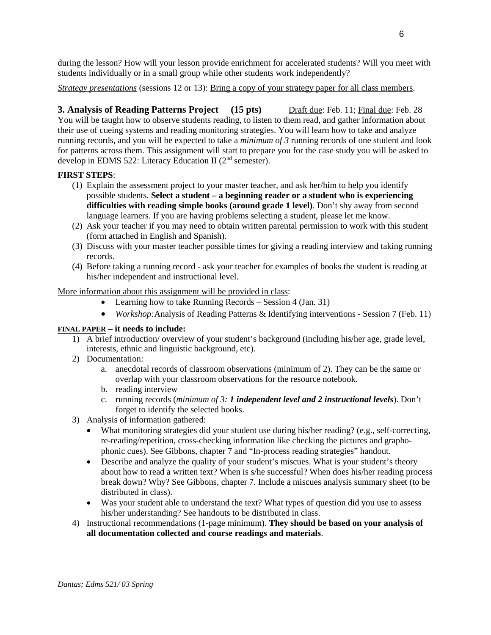during the lesson? How will your lesson provide enrichment for accelerated students? Will you meet with students individually or in a small group while other students work independently?

*Strategy presentations* (sessions 12 or 13): Bring a copy of your strategy paper for all class members.

**3. Analysis of Reading Patterns Project (15 pts)** Draft due: Feb. 11; Final due: Feb. 28 You will be taught how to observe students reading, to listen to them read, and gather information about their use of cueing systems and reading monitoring strategies. You will learn how to take and analyze running records, and you will be expected to take a *minimum of 3* running records of one student and look for patterns across them. This assignment will start to prepare you for the case study you will be asked to develop in EDMS 522: Literacy Education II (2nd semester).

## **FIRST STEPS**:

- (1) Explain the assessment project to your master teacher, and ask her/him to help you identify possible students. **Select a student – a beginning reader or a student who is experiencing difficulties with reading simple books (around grade 1 level)**. Don't shy away from second language learners. If you are having problems selecting a student, please let me know.
- (2) Ask your teacher if you may need to obtain written parental permission to work with this student (form attached in English and Spanish).
- (3) Discuss with your master teacher possible times for giving a reading interview and taking running records.
- (4) Before taking a running record ask your teacher for examples of books the student is reading at his/her independent and instructional level.

More information about this assignment will be provided in class:

- Learning how to take Running Records Session 4 (Jan. 31)
- *Workshop:* Analysis of Reading Patterns & Identifying interventions Session 7 (Feb. 11)

### **FINAL PAPER – it needs to include:**

- 1) A brief introduction/ overview of your student's background (including his/her age, grade level, interests, ethnic and linguistic background, etc).
- 2) Documentation:
	- a. anecdotal records of classroom observations (minimum of 2). They can be the same or overlap with your classroom observations for the resource notebook.
	- b. reading interview
	- c. running records (*minimum of 3: 1 independent level and 2 instructional levels*). Don't forget to identify the selected books.
- 3) Analysis of information gathered:
	- What monitoring strategies did your student use during his/her reading? (e.g., self-correcting, re-reading/repetition, cross-checking information like checking the pictures and graphophonic cues). See Gibbons, chapter 7 and "In-process reading strategies" handout.
	- Describe and analyze the quality of your student's miscues. What is your student's theory about how to read a written text? When is s/he successful? When does his/her reading process break down? Why? See Gibbons, chapter 7. Include a miscues analysis summary sheet (to be distributed in class).
	- Was your student able to understand the text? What types of question did you use to assess his/her understanding? See handouts to be distributed in class.
- 4) Instructional recommendations (1-page minimum). **They should be based on your analysis of all documentation collected and course readings and materials**.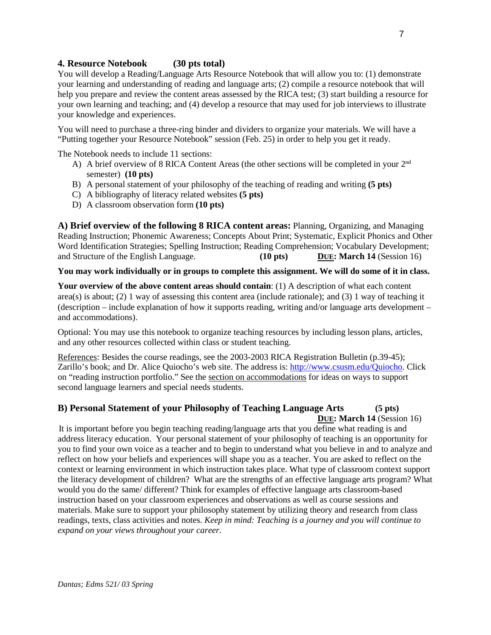## **4. Resource Notebook (30 pts total)**

You will develop a Reading/Language Arts Resource Notebook that will allow you to: (1) demonstrate your learning and understanding of reading and language arts; (2) compile a resource notebook that will help you prepare and review the content areas assessed by the RICA test; (3) start building a resource for your own learning and teaching; and (4) develop a resource that may used for job interviews to illustrate your knowledge and experiences.

You will need to purchase a three-ring binder and dividers to organize your materials. We will have a "Putting together your Resource Notebook" session (Feb. 25) in order to help you get it ready.

The Notebook needs to include 11 sections:

- A) A brief overview of 8 RICA Content Areas (the other sections will be completed in your 2nd semester) **(10 pts)**
- B) A personal statement of your philosophy of the teaching of reading and writing **(5 pts)**
- C) A bibliography of literacy related websites **(5 pts)**
- D) A classroom observation form **(10 pts)**

**A) Brief overview of the following 8 RICA content areas:** Planning, Organizing, and Managing Reading Instruction; Phonemic Awareness; Concepts About Print; Systematic, Explicit Phonics and Other Word Identification Strategies; Spelling Instruction; Reading Comprehension; Vocabulary Development; and Structure of the English Language. **(10 pts) DUE: March 14** (Session 16)

**You may work individually or in groups to complete this assignment. We will do some of it in class.** 

**Your overview of the above content areas should contain**: (1) A description of what each content area(s) is about; (2) 1 way of assessing this content area (include rationale); and (3) 1 way of teaching it (description – include explanation of how it supports reading, writing and/or language arts development – and accommodations).

Optional: You may use this notebook to organize teaching resources by including lesson plans, articles, and any other resources collected within class or student teaching.

References: Besides the course readings, see the 2003-2003 RICA Registration Bulletin (p.39-45); Zarillo's book; and Dr. Alice Quiocho's web site. The address is: [http://www.csusm.edu/Quiocho.](http://www.csusm.edu/Quiocho) Click on "reading instruction portfolio." See the section on accommodations for ideas on ways to support second language learners and special needs students.

### **B) Personal Statement of your Philosophy of Teaching Language Arts (5 pts) DUE: March 14 (Session 16)**

It is important before you begin teaching reading/language arts that you define what reading is and address literacy education. Your personal statement of your philosophy of teaching is an opportunity for you to find your own voice as a teacher and to begin to understand what you believe in and to analyze and reflect on how your beliefs and experiences will shape you as a teacher. You are asked to reflect on the context or learning environment in which instruction takes place. What type of classroom context support the literacy development of children? What are the strengths of an effective language arts program? What would you do the same/ different? Think for examples of effective language arts classroom-based instruction based on your classroom experiences and observations as well as course sessions and materials. Make sure to support your philosophy statement by utilizing theory and research from class readings, texts, class activities and notes. *Keep in mind: Teaching is a journey and you will continue to expand on your views throughout your career.*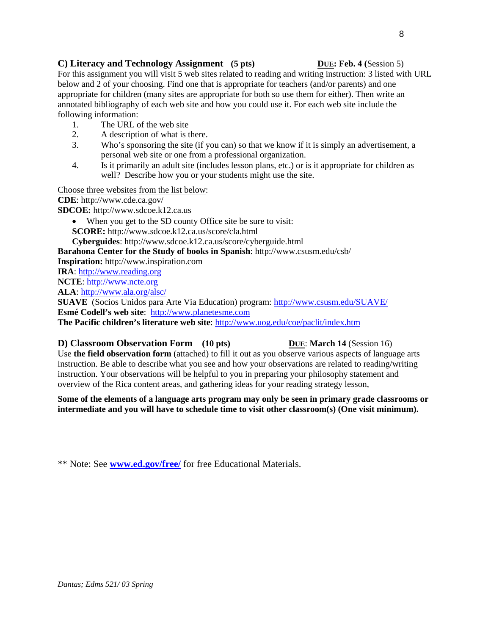# **C) Literacy and Technology Assignment (5 pts) DUE: Feb. 4 (**Session 5)

For this assignment you will visit 5 web sites related to reading and writing instruction: 3 listed with URL below and 2 of your choosing. Find one that is appropriate for teachers (and/or parents) and one appropriate for children (many sites are appropriate for both so use them for either). Then write an annotated bibliography of each web site and how you could use it. For each web site include the following information:

- 1. The URL of the web site
- 2. A description of what is there.
- 3. Who's sponsoring the site (if you can) so that we know if it is simply an advertisement, a personal web site or one from a professional organization.
- 4. Is it primarily an adult site (includes lesson plans, etc.) or is it appropriate for children as well? Describe how you or your students might use the site.

Choose three websites from the list below:

**CDE**: http://www.cde.ca.gov/

**SDCOE:** http://www.sdcoe.k12.ca.us

- When you get to the SD county Office site be sure to visit:
- **SCORE:** http://www.sdcoe.k12.ca.us/score/cla.html

**Cyberguides**: http://www.sdcoe.k12.ca.us/score/cyberguide.html

**Barahona Center for the Study of books in Spanish**: http://www.csusm.edu/csb/

**Inspiration:** http://www.inspiration.com

**IRA**: [http://www.reading.org](http://www.reading.org/)

**NCTE**: [http://www.ncte.org](http://www.ncte.org/)

**ALA**:<http://www.ala.org/alsc/>

**SUAVE** (Socios Unidos para Arte Via Education) program:<http://www.csusm.edu/SUAVE/> **Esmé Codell's web site**: [http://www.planetesme.com](http://www.planetesme.com/)

**The Pacific children's literature web site**:<http://www.uog.edu/coe/paclit/index.htm>

## **D**) **Classroom Observation Form** (10 pts) **DUE**: March 14 (Session 16)

Use **the field observation form** (attached) to fill it out as you observe various aspects of language arts instruction. Be able to describe what you see and how your observations are related to reading/writing instruction. Your observations will be helpful to you in preparing your philosophy statement and overview of the Rica content areas, and gathering ideas for your reading strategy lesson,

**Some of the elements of a language arts program may only be seen in primary grade classrooms or intermediate and you will have to schedule time to visit other classroom(s) (One visit minimum).** 

\*\* Note: See **[www.ed.gov/free/](http://www.ed.gov/free/)** for free Educational Materials.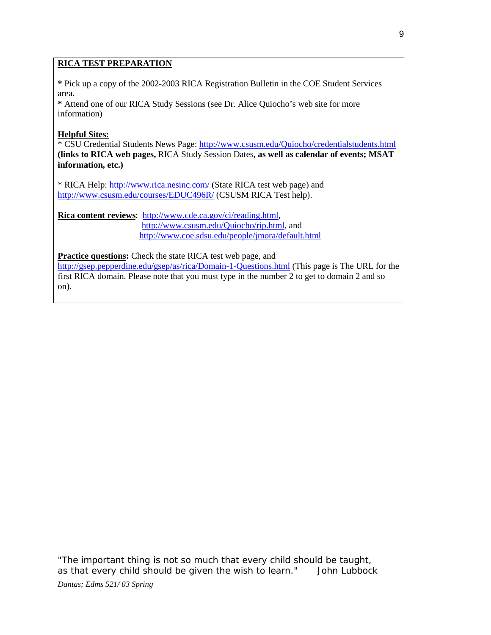## **RICA TEST PREPARATION**

**\*** Pick up a copy of the 2002-2003 RICA Registration Bulletin in the COE Student Services area.

**\*** Attend one of our RICA Study Sessions (see Dr. Alice Quiocho's web site for more information)

### **Helpful Sites:**

\* CSU Credential Students News Page:<http://www.csusm.edu/Quiocho/credentialstudents.html> **(links to RICA web pages,** RICA Study Session Dates**, as well as calendar of events; MSAT information, etc.)**

\* RICA Help:<http://www.rica.nesinc.com/> (State RICA test web page) and <http://www.csusm.edu/courses/EDUC496R/> (CSUSM RICA Test help).

**Rica content reviews**: [http://www.cde.ca.gov/ci/reading.html,](http://www.cde.ca.gov/ci/reading.html) [http://www.csusm.edu/Quiocho/rip.html,](http://www.csusm.edu/Quiocho/rip.html) and <http://www.coe.sdsu.edu/people/jmora/default.html>

**Practice questions:** Check the state RICA test web page, and <http://gsep.pepperdine.edu/gsep/as/rica/Domain-1-Questions.html> (This page is The URL for the first RICA domain. Please note that you must type in the number 2 to get to domain 2 and so on).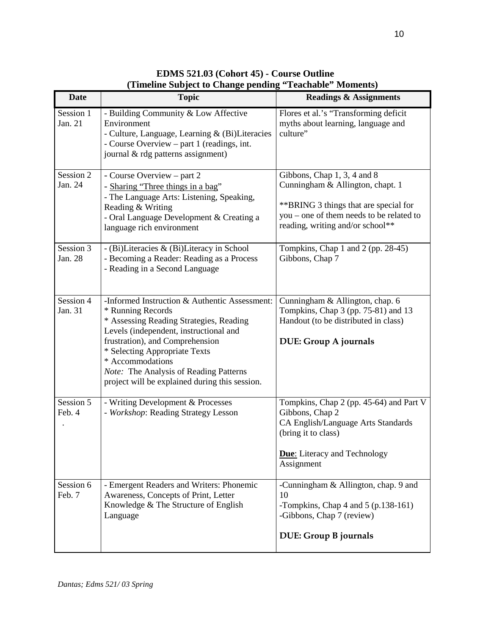| <b>Date</b>          | <b>Topic</b>                                                                                                                                                                                                                                                                                                                                | <b>Readings &amp; Assignments</b>                                                                                                                                                             |  |
|----------------------|---------------------------------------------------------------------------------------------------------------------------------------------------------------------------------------------------------------------------------------------------------------------------------------------------------------------------------------------|-----------------------------------------------------------------------------------------------------------------------------------------------------------------------------------------------|--|
| Session 1<br>Jan. 21 | - Building Community & Low Affective<br>Environment<br>- Culture, Language, Learning & (Bi)Literacies<br>- Course Overview - part 1 (readings, int.<br>journal & rdg patterns assignment)                                                                                                                                                   | Flores et al.'s "Transforming deficit<br>myths about learning, language and<br>culture"                                                                                                       |  |
| Session 2<br>Jan. 24 | - Course Overview – part 2<br>- Sharing "Three things in a bag"<br>- The Language Arts: Listening, Speaking,<br>Reading & Writing<br>- Oral Language Development & Creating a<br>language rich environment                                                                                                                                  | Gibbons, Chap $1, 3, 4$ and $8$<br>Cunningham & Allington, chapt. 1<br>** BRING 3 things that are special for<br>you – one of them needs to be related to<br>reading, writing and/or school** |  |
| Session 3<br>Jan. 28 | - (Bi)Literacies & (Bi)Literacy in School<br>- Becoming a Reader: Reading as a Process<br>- Reading in a Second Language                                                                                                                                                                                                                    | Tompkins, Chap 1 and 2 (pp. 28-45)<br>Gibbons, Chap 7                                                                                                                                         |  |
| Session 4<br>Jan. 31 | -Informed Instruction & Authentic Assessment:<br>* Running Records<br>* Assessing Reading Strategies, Reading<br>Levels (independent, instructional and<br>frustration), and Comprehension<br>* Selecting Appropriate Texts<br>* Accommodations<br>Note: The Analysis of Reading Patterns<br>project will be explained during this session. | Cunningham & Allington, chap. 6<br>Tompkins, Chap 3 (pp. 75-81) and 13<br>Handout (to be distributed in class)<br>DUE: Group A journals                                                       |  |
| Session 5<br>Feb. 4  | - Writing Development & Processes<br>- Workshop: Reading Strategy Lesson                                                                                                                                                                                                                                                                    | Tompkins, Chap 2 (pp. 45-64) and Part V<br>Gibbons, Chap 2<br>CA English/Language Arts Standards<br>(bring it to class)<br><b>Due:</b> Literacy and Technology<br>Assignment                  |  |
| Session 6<br>Feb. 7  | - Emergent Readers and Writers: Phonemic<br>Awareness, Concepts of Print, Letter<br>Knowledge & The Structure of English<br>Language                                                                                                                                                                                                        | -Cunningham & Allington, chap. 9 and<br>10<br>-Tompkins, Chap $4$ and $5$ (p.138-161)<br>-Gibbons, Chap 7 (review)<br>DUE: Group B journals                                                   |  |

**EDMS 521.03 (Cohort 45) - Course Outline (Timeline Subject to Change pending "Teachable" Moments)**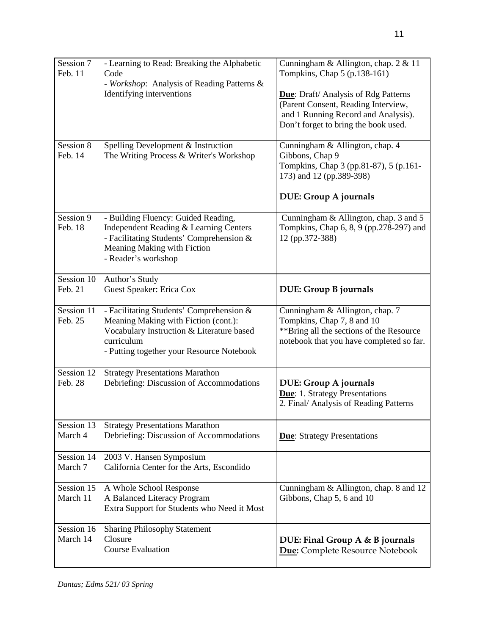| Session 7  | - Learning to Read: Breaking the Alphabetic | Cunningham & Allington, chap. 2 & 11      |
|------------|---------------------------------------------|-------------------------------------------|
| Feb. 11    | Code                                        | Tompkins, Chap 5 (p.138-161)              |
|            |                                             |                                           |
|            | - Workshop: Analysis of Reading Patterns &  |                                           |
|            | Identifying interventions                   | Due: Draft/ Analysis of Rdg Patterns      |
|            |                                             | (Parent Consent, Reading Interview,       |
|            |                                             | and 1 Running Record and Analysis).       |
|            |                                             | Don't forget to bring the book used.      |
|            |                                             |                                           |
| Session 8  | Spelling Development & Instruction          | Cunningham & Allington, chap. 4           |
| Feb. 14    | The Writing Process & Writer's Workshop     | Gibbons, Chap 9                           |
|            |                                             | Tompkins, Chap 3 (pp.81-87), 5 (p.161-    |
|            |                                             | 173) and 12 (pp.389-398)                  |
|            |                                             |                                           |
|            |                                             |                                           |
|            |                                             | <b>DUE: Group A journals</b>              |
|            |                                             |                                           |
| Session 9  | - Building Fluency: Guided Reading,         | Cunningham & Allington, chap. 3 and 5     |
| Feb. 18    | Independent Reading & Learning Centers      | Tompkins, Chap 6, 8, 9 (pp.278-297) and   |
|            | - Facilitating Students' Comprehension &    | 12 (pp.372-388)                           |
|            | Meaning Making with Fiction                 |                                           |
|            | - Reader's workshop                         |                                           |
|            |                                             |                                           |
| Session 10 | Author's Study                              |                                           |
| Feb. 21    | Guest Speaker: Erica Cox                    | <b>DUE: Group B journals</b>              |
|            |                                             |                                           |
| Session 11 | - Facilitating Students' Comprehension &    | Cunningham & Allington, chap. 7           |
| Feb. 25    | Meaning Making with Fiction (cont.):        | Tompkins, Chap 7, 8 and 10                |
|            | Vocabulary Instruction & Literature based   | ** Bring all the sections of the Resource |
|            | curriculum                                  | notebook that you have completed so far.  |
|            | - Putting together your Resource Notebook   |                                           |
|            |                                             |                                           |
| Session 12 | <b>Strategy Presentations Marathon</b>      |                                           |
| Feb. 28    | Debriefing: Discussion of Accommodations    | <b>DUE: Group A journals</b>              |
|            |                                             | <b>Due: 1. Strategy Presentations</b>     |
|            |                                             | 2. Final/ Analysis of Reading Patterns    |
|            |                                             |                                           |
| Session 13 | <b>Strategy Presentations Marathon</b>      |                                           |
|            |                                             |                                           |
| March 4    | Debriefing: Discussion of Accommodations    | <b>Due:</b> Strategy Presentations        |
|            |                                             |                                           |
| Session 14 | 2003 V. Hansen Symposium                    |                                           |
| March 7    | California Center for the Arts, Escondido   |                                           |
|            |                                             |                                           |
| Session 15 | A Whole School Response                     | Cunningham & Allington, chap. 8 and 12    |
| March 11   | A Balanced Literacy Program                 | Gibbons, Chap 5, 6 and 10                 |
|            | Extra Support for Students who Need it Most |                                           |
|            |                                             |                                           |
| Session 16 | <b>Sharing Philosophy Statement</b>         |                                           |
| March 14   | Closure                                     | DUE: Final Group A & B journals           |
|            | <b>Course Evaluation</b>                    | <b>Due:</b> Complete Resource Notebook    |
|            |                                             |                                           |
|            |                                             |                                           |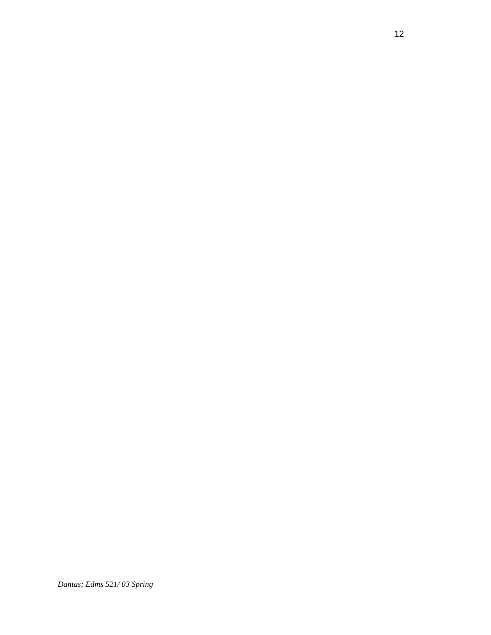*Dantas; Edms 521/ 03 Spring*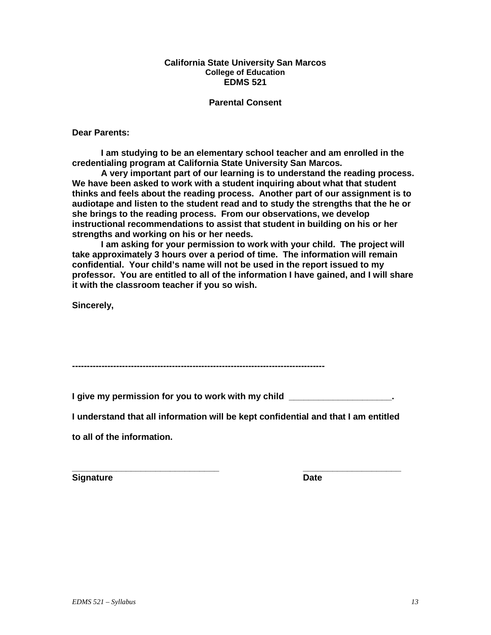### **California State University San Marcos College of Education EDMS 521**

### **Parental Consent**

**Dear Parents:**

**I am studying to be an elementary school teacher and am enrolled in the credentialing program at California State University San Marcos.** 

**A very important part of our learning is to understand the reading process. We have been asked to work with a student inquiring about what that student thinks and feels about the reading process. Another part of our assignment is to audiotape and listen to the student read and to study the strengths that the he or she brings to the reading process. From our observations, we develop instructional recommendations to assist that student in building on his or her strengths and working on his or her needs.**

**I am asking for your permission to work with your child. The project will take approximately 3 hours over a period of time. The information will remain confidential. Your child's name will not be used in the report issued to my professor. You are entitled to all of the information I have gained, and I will share it with the classroom teacher if you so wish.**

**Sincerely,**

**--------------------------------------------------------------------------------------**

**I** give my permission for you to work with my child **Letting and Section** 

**I understand that all information will be kept confidential and that I am entitled** 

**to all of the information.**

**\_\_\_\_\_\_\_\_\_\_\_\_\_\_\_\_\_\_\_\_\_\_\_\_\_\_\_\_\_\_ \_\_\_\_\_\_\_\_\_\_\_\_\_\_\_\_\_\_\_\_ Signature Date**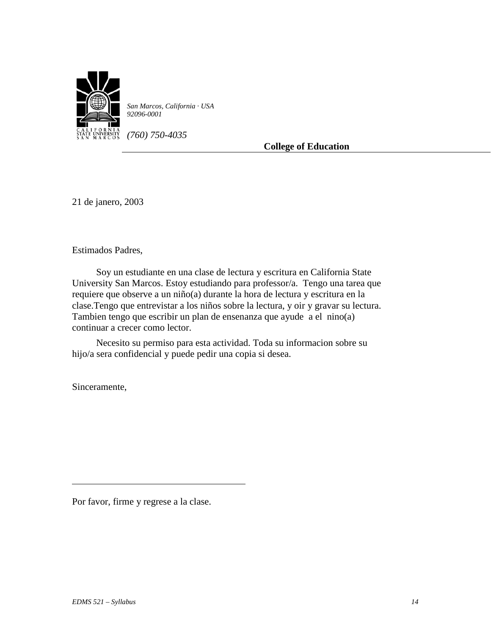

*San Marcos, California · USA 92096-0001*

*(760) 750-4035*

**College of Education**

21 de janero, 2003

Estimados Padres,

 Soy un estudiante en una clase de lectura y escritura en California State University San Marcos. Estoy estudiando para professor/a. Tengo una tarea que requiere que observe a un niño(a) durante la hora de lectura y escritura en la clase.Tengo que entrevistar a los niños sobre la lectura, y oir y gravar su lectura. Tambien tengo que escribir un plan de ensenanza que ayude a el nino(a) continuar a crecer como lector.

 Necesito su permiso para esta actividad. Toda su informacion sobre su hijo/a sera confidencial y puede pedir una copia si desea.

Sinceramente,

Por favor, firme y regrese a la clase.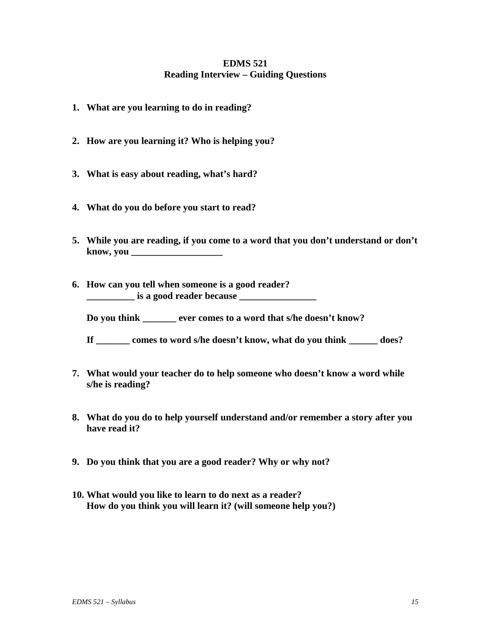## **EDMS 521 Reading Interview – Guiding Questions**

- **1. What are you learning to do in reading?**
- **2. How are you learning it? Who is helping you?**
- **3. What is easy about reading, what's hard?**
- **4. What do you do before you start to read?**
- **5. While you are reading, if you come to a word that you don't understand or don't know, you \_\_\_\_\_\_\_\_\_\_\_\_\_\_\_\_\_\_\_**
- **6. How can you tell when someone is a good reader? is a good reader because**

**Do you think \_\_\_\_\_\_\_ ever comes to a word that s/he doesn't know?** 

- **If \_\_\_\_\_\_\_ comes to word s/he doesn't know, what do you think \_\_\_\_\_\_ does?**
- **7. What would your teacher do to help someone who doesn't know a word while s/he is reading?**
- **8. What do you do to help yourself understand and/or remember a story after you have read it?**
- **9. Do you think that you are a good reader? Why or why not?**
- **10. What would you like to learn to do next as a reader? How do you think you will learn it? (will someone help you?)**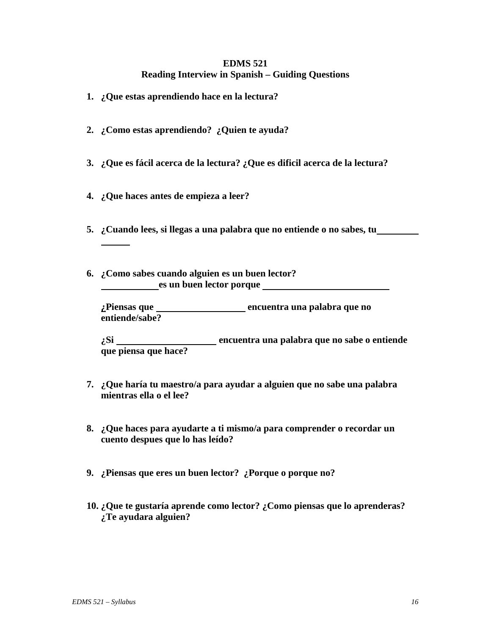## **EDMS 521 Reading Interview in Spanish – Guiding Questions**

- **1. ¿Que estas aprendiendo hace en la lectura?**
- **2. ¿Como estas aprendiendo? ¿Quien te ayuda?**
- **3. ¿Que es fácil acerca de la lectura? ¿Que es dificil acerca de la lectura?**
- **4. ¿Que haces antes de empieza a leer?**
- **5. ¿Cuando lees, si llegas a una palabra que no entiende o no sabes, tu**
- **6. ¿Como sabes cuando alguien es un buen lector? es un buen lector porque**

*i* Piensas que **encuentra una palabra que no entiende/sabe?**

**¿Si encuentra una palabra que no sabe o entiende que piensa que hace?**

- **7. ¿Que haría tu maestro/a para ayudar a alguien que no sabe una palabra mientras ella o el lee?**
- **8. ¿Que haces para ayudarte a ti mismo/a para comprender o recordar un cuento despues que lo has leído?**
- **9. ¿Piensas que eres un buen lector? ¿Porque o porque no?**
- **10. ¿Que te gustaría aprende como lector? ¿Como piensas que lo aprenderas? ¿Te ayudara alguien?**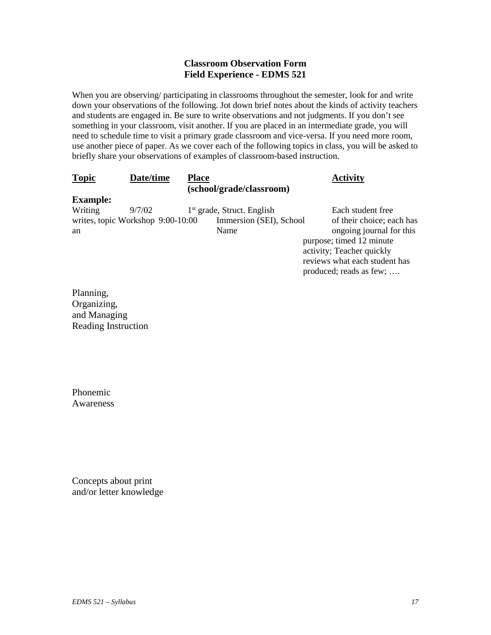## **Classroom Observation Form Field Experience - EDMS 521**

When you are observing/ participating in classrooms throughout the semester, look for and write down your observations of the following. Jot down brief notes about the kinds of activity teachers and students are engaged in. Be sure to write observations and not judgments. If you don't see something in your classroom, visit another. If you are placed in an intermediate grade, you will need to schedule time to visit a primary grade classroom and vice-versa. If you need more room, use another piece of paper. As we cover each of the following topics in class, you will be asked to briefly share your observations of examples of classroom-based instruction.

| <b>Topic</b>    | Date/time                         | <b>Place</b> |                              | <b>Activity</b>                                                                                                                               |
|-----------------|-----------------------------------|--------------|------------------------------|-----------------------------------------------------------------------------------------------------------------------------------------------|
|                 |                                   |              | (school/grade/classroom)     |                                                                                                                                               |
| <b>Example:</b> |                                   |              |                              |                                                                                                                                               |
| Writing         | 9/7/02                            |              | $1st$ grade, Struct. English | Each student free                                                                                                                             |
|                 | writes, topic Workshop 9:00-10:00 |              | Immersion (SEI), School      | of their choice; each has                                                                                                                     |
| an              |                                   |              | Name                         | ongoing journal for this<br>purpose; timed 12 minute<br>activity; Teacher quickly<br>reviews what each student has<br>produced; reads as few; |
|                 |                                   |              |                              |                                                                                                                                               |

Planning, Organizing, and Managing Reading Instruction

Phonemic **Awareness** 

Concepts about print and/or letter knowledge